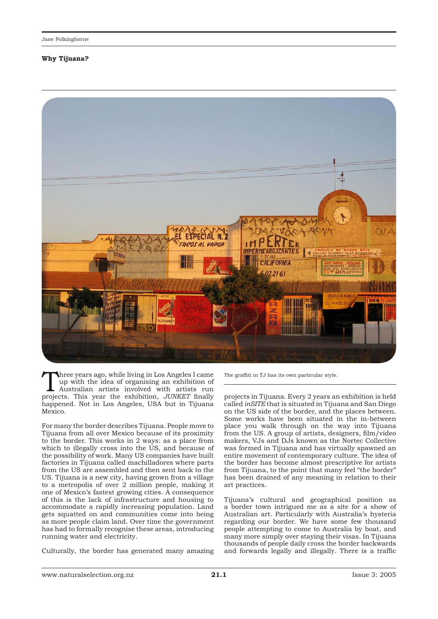## **Why Tijuana?**



Three years ago, while living in Los Angeles I came<br>up with the idea of organising an exhibition of<br>Australian artists involved with artists run<br>projects. This year, the exhibition  $H_{\text{I}}/W_{\text{KFT}}$  finally up with the idea of organising an exhibition of projects. This year the exhibition, *JUNKET* finally happened. Not in Los Angeles, USA but in Tijuana Mexico.

For many the border describes Tijuana. People move to Tijuana from all over Mexico because of its proximity to the border. This works in 2 ways: as a place from which to illegally cross into the US, and because of the possibility of work. Many US companies have built factories in Tijuana called machilladores where parts from the US are assembled and then sent back to the US. Tijuana is a new city, having grown from a village to a metropolis of over 2 million people, making it one of Mexico's fastest growing cities. A consequence of this is the lack of infrastructure and housing to accommodate a rapidly increasing population. Land gets squatted on and communities come into being as more people claim land. Over time the government has had to formally recognise these areas, introducing running water and electricity.

Culturally, the border has generated many amazing

The graffiti in TJ has its own particular style.

projects in Tijuana. Every 2 years an exhibition is held called *inSITE* that is situated in Tijuana and San Diego on the US side of the border, and the places between. Some works have been situated in the in-between place you walk through on the way into Tijuana from the US. A group of artists, designers, film/video makers, VJs and DJs known as the Nortec Collective was formed in Tijuana and has virtually spawned an entire movement of contemporary culture. The idea of the border has become almost prescriptive for artists from Tijuana, to the point that many feel "the border" has been drained of any meaning in relation to their art practices.

Tijuana's cultural and geographical position as a border town intrigued me as a site for a show of Australian art. Particularly with Australia's hysteria regarding our border. We have some few thousand people attempting to come to Australia by boat, and many more simply over staying their visas. In Tijuana thousands of people daily cross the border backwards and forwards legally and illegally. There is a traffic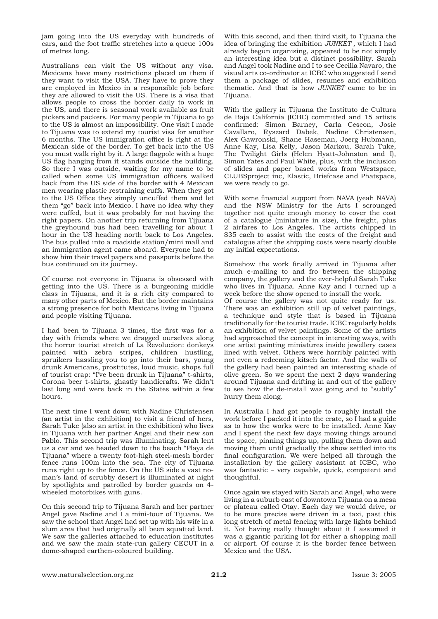jam going into the US everyday with hundreds of cars, and the foot traffic stretches into a queue 100s of metres long.

Australians can visit the US without any visa. Mexicans have many restrictions placed on them if they want to visit the USA. They have to prove they are employed in Mexico in a responsible job before they are allowed to visit the US. There is a visa that allows people to cross the border daily to work in the US, and there is seasonal work available as fruit pickers and packers. For many people in Tijuana to go to the US is almost an impossibility. One visit I made to Tijuana was to extend my tourist visa for another 6 months. The US immigration office is right at the Mexican side of the border. To get back into the US you must walk right by it. A large flagpole with a huge US flag hanging from it stands outside the building. So there I was outside, waiting for my name to be called when some US immigration officers walked back from the US side of the border with 4 Mexican men wearing plastic restraining cuffs. When they got to the US Office they simply uncuffed them and let them "go" back into Mexico. I have no idea why they were cuffed, but it was probably for not having the right papers. On another trip returning from Tijuana the greyhound bus had been travelling for about 1 hour in the US heading north back to Los Angeles. The bus pulled into a roadside station/mini mall and an immigration agent came aboard. Everyone had to show him their travel papers and passports before the bus continued on its journey.

Of course not everyone in Tijuana is obsessed with getting into the US. There is a burgeoning middle class in Tijuana, and it is a rich city compared to many other parts of Mexico. But the border maintains a strong presence for both Mexicans living in Tijuana and people visiting Tijuana.

I had been to Tijuana 3 times, the first was for a day with friends where we dragged ourselves along the horror tourist stretch of La Revolucion: donkeys painted with zebra stripes, children hustling, spruikers hassling you to go into their bars, young drunk Americans, prostitutes, loud music, shops full of tourist crap: "I've been drunk in Tijuana" t-shirts, Corona beer t-shirts, ghastly handicrafts. We didn't last long and were back in the States within a few hours.

The next time I went down with Nadine Christensen (an artist in the exhibition) to visit a friend of hers, Sarah Tuke (also an artist in the exhibition) who lives in Tijuana with her partner Angel and their new son Pablo. This second trip was illuminating. Sarah lent us a car and we headed down to the beach "Playa de Tijuana" where a twenty foot-high steel-mesh border fence runs 100m into the sea. The city of Tijuana runs right up to the fence. On the US side a vast noman's land of scrubby desert is illuminated at night by spotlights and patrolled by border guards on 4 wheeled motorbikes with guns.

On this second trip to Tijuana Sarah and her partner Angel gave Nadine and I a mini-tour of Tijuana. We saw the school that Angel had set up with his wife in a slum area that had originally all been squatted land. We saw the galleries attached to education institutes and we saw the main state-run gallery CECUT in a dome-shaped earthen-coloured building.

With this second, and then third visit, to Tijuana the idea of bringing the exhibition *JUNKET ,* which I had already begun organising, appeared to be not simply an interesting idea but a distinct possibility. Sarah and Angel took Nadine and I to see Cecilia Navaro, the visual arts co-ordinator at ICBC who suggested I send them a package of slides, resumes and exhibition thematic. And that is how *JUNKET* came to be in Tijuana.

With the gallery in Tijuana the Instituto de Cultura de Baja California (ICBC) committed and 15 artists confirmed: Simon Barney, Carla Cescon, Josie Cavallaro, Ryszard Dabek, Nadine Christensen, Alex Gawronski, Shane Haseman, Joerg Hubmann, Anne Kay, Lisa Kelly, Jason Markou, Sarah Tuke, The Twilight Girls (Helen Hyatt-Johnston and I), Simon Yates and Paul White, plus, with the inclusion of slides and paper based works from Westspace, CLUBSproject inc, Elastic, Briefcase and Phatspace, we were ready to go.

With some financial support from NAVA (yeah NAVA) and the NSW Ministry for the Arts I scrounged together not quite enough money to cover the cost of a catalogue (miniature in size), the freight, plus 2 airfares to Los Angeles. The artists chipped in \$35 each to assist with the costs of the freight and catalogue after the shipping costs were nearly double my initial expectations.

Somehow the work finally arrived in Tijuana after much e-mailing to and fro between the shipping company, the gallery and the ever-helpful Sarah Tuke who lives in Tijuana. Anne Kay and I turned up a week before the show opened to install the work. Of course the gallery was not quite ready for us. There was an exhibition still up of velvet paintings, a technique and style that is based in Tijuana traditionally for the tourist trade. ICBC regularly holds an exhibition of velvet paintings. Some of the artists had approached the concept in interesting ways, with one artist painting miniatures inside jewellery cases lined with velvet. Others were horribly painted with not even a redeeming kitsch factor. And the walls of the gallery had been painted an interesting shade of olive green. So we spent the next 2 days wandering around Tijuana and drifting in and out of the gallery to see how the de-install was going and to "subtly" hurry them along.

In Australia I had got people to roughly install the work before I packed it into the crate, so I had a guide as to how the works were to be installed. Anne Kay and I spent the next few days moving things around the space, pinning things up, pulling them down and moving them until gradually the show settled into its final configuration. We were helped all through the installation by the gallery assistant at ICBC, who was fantastic – very capable, quick, competent and thoughtful.

Once again we stayed with Sarah and Angel, who were living in a suburb east of downtown Tijuana on a mesa or plateau called Otay. Each day we would drive, or to be more precise were driven in a taxi, past this long stretch of metal fencing with large lights behind it. Not having really thought about it I assumed it was a gigantic parking lot for either a shopping mall or airport. Of course it is the border fence between Mexico and the USA.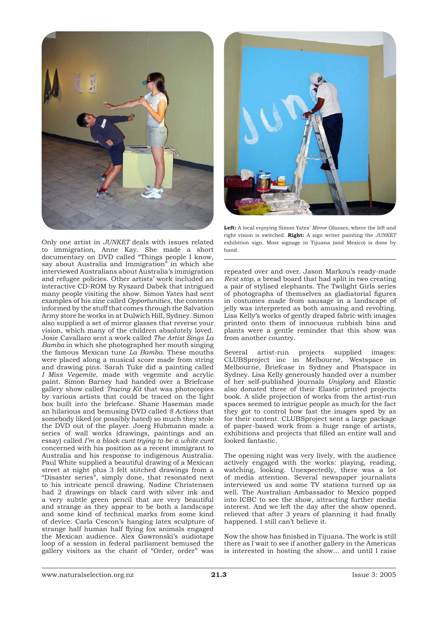



Only one artist in *JUNKET* deals with issues related to immigration, Anne Kay. She made a short documentary on DVD called "Things people I know, say about Australia and Immigration" in which she interviewed Australians about Australia's immigration and refugee policies. Other artists' work included an interactive CD-ROM by Ryszard Dabek that intrigued many people visiting the show. Simon Yates had sent examples of his zine called *Opportunities*, the contents informed by the stuff that comes through the Salvation Army store he works in at Dulwich Hill, Sydney. Simon also supplied a set of mirror glasses that reverse your vision, which many of the children absolutely loved. Josie Cavallaro sent a work called *The Artist Sings La Bamba* in which she photographed her mouth singing the famous Mexican tune *La Bamba.* These mouths were placed along a musical score made from string and drawing pins. Sarah Tuke did a painting called *I Miss Vegemite*, made with vegemite and acrylic paint. Simon Barney had handed over a Briefcase gallery show called *Tracing Kit* that was photocopies by various artists that could be traced on the light box built into the briefcase. Shane Haseman made an hilarious and bemusing DVD called *8 Actions* that somebody liked (or possibly hated) so much they stole the DVD out of the player. Joerg Hubmann made a series of wall works (drawings, paintings and an essay) called *I'm a black cunt trying to be a white cunt* concerned with his position as a recent immigrant to Australia and his response to indigenous Australia. Paul White supplied a beautiful drawing of a Mexican street at night plus 3 felt stitched drawings from a "Disaster series", simply done, that resonated next to his intricate pencil drawing. Nadine Christensen had 2 drawings on black card with silver ink and a very subtle green pencil that are very beautiful and strange as they appear to be both a landscape and some kind of technical marks from some kind of device. Carla Cescon's hanging latex sculpture of strange half human half flying fox animals engaged the Mexican audience. Alex Gawronski's audiotape loop of a session in federal parliament bemused the gallery visitors as the chant of "Order, order" was

**Left:** A local enjoying Simon Yates' *Mirror Glasses*, where the left and right vision is switched. **Right:** A sign writer painting the *JUNKET* exhibition sign. Most signage in Tijuana (and Mexico) is done by hand.

repeated over and over. Jason Markou's ready-made *Rest stop*, a bread board that had split in two creating a pair of stylised elephants. The Twilight Girls series of photographs of themselves as gladiatorial figures in costumes made from sausage in a landscape of jelly was interpreted as both amusing and revolting. Lisa Kelly's works of gently draped fabric with images printed onto them of innocuous rubbish bins and plants were a gentle reminder that this show was from another country.

Several artist-run projects supplied images: CLUBSproject inc in Melbourne, Westspace in Melbourne, Briefcase in Sydney and Phatspace in Sydney. Lisa Kelly generously handed over a number of her self-published journals *Uniglory* and Elastic also donated three of their Elastic printed projects book. A slide projection of works from the artist-run spaces seemed to intrigue people as much for the fact they got to control how fast the images sped by as for their content. CLUBSproject sent a large package of paper-based work from a huge range of artists, exhibitions and projects that filled an entire wall and looked fantastic.

The opening night was very lively, with the audience actively engaged with the works: playing, reading, watching, looking. Unexpectedly, there was a lot of media attention. Several newspaper journalists interviewed us and some TV stations turned up as well. The Australian Ambassador to Mexico popped into ICBC to see the show, attracting further media interest. And we left the day after the show opened, relieved that after 3 years of planning it had finally happened. I still can't believe it.

Now the show has finished in Tijuana. The work is still there as I wait to see if another gallery in the Americas is interested in hosting the show... and until I raise